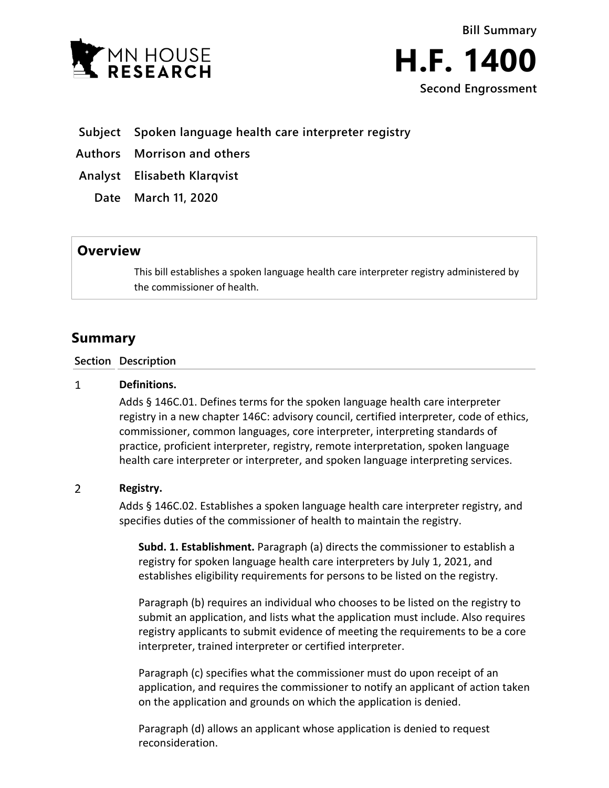



**Subject Spoken language health care interpreter registry**

**Authors Morrison and others**

**Analyst Elisabeth Klarqvist**

**Date March 11, 2020**

# **Overview**

This bill establishes a spoken language health care interpreter registry administered by the commissioner of health.

# **Summary**

**Section Description**

#### $\mathbf{1}$ **Definitions.**

Adds § 146C.01. Defines terms for the spoken language health care interpreter registry in a new chapter 146C: advisory council, certified interpreter, code of ethics, commissioner, common languages, core interpreter, interpreting standards of practice, proficient interpreter, registry, remote interpretation, spoken language health care interpreter or interpreter, and spoken language interpreting services.

### $\overline{2}$ **Registry.**

Adds § 146C.02. Establishes a spoken language health care interpreter registry, and specifies duties of the commissioner of health to maintain the registry.

**Subd. 1. Establishment.** Paragraph (a) directs the commissioner to establish a registry for spoken language health care interpreters by July 1, 2021, and establishes eligibility requirements for persons to be listed on the registry.

Paragraph (b) requires an individual who chooses to be listed on the registry to submit an application, and lists what the application must include. Also requires registry applicants to submit evidence of meeting the requirements to be a core interpreter, trained interpreter or certified interpreter.

Paragraph (c) specifies what the commissioner must do upon receipt of an application, and requires the commissioner to notify an applicant of action taken on the application and grounds on which the application is denied.

Paragraph (d) allows an applicant whose application is denied to request reconsideration.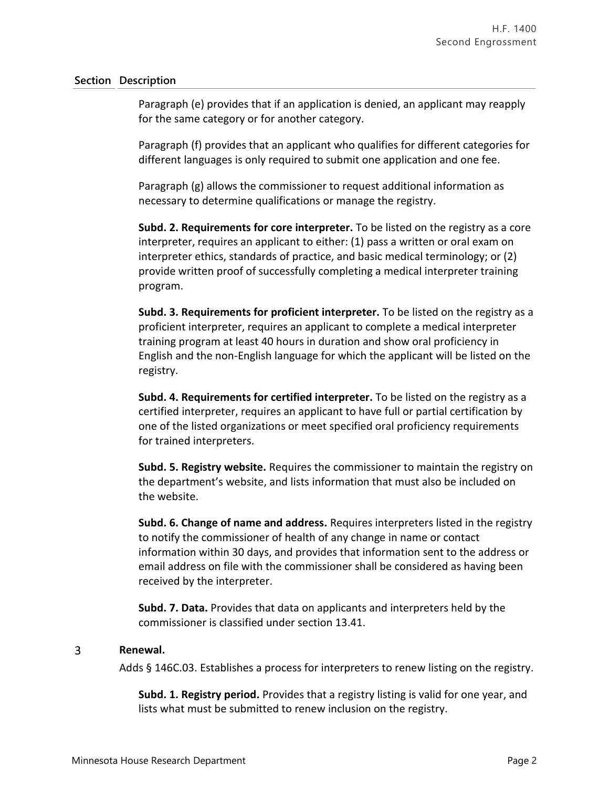Paragraph (e) provides that if an application is denied, an applicant may reapply for the same category or for another category.

Paragraph (f) provides that an applicant who qualifies for different categories for different languages is only required to submit one application and one fee.

Paragraph (g) allows the commissioner to request additional information as necessary to determine qualifications or manage the registry.

**Subd. 2. Requirements for core interpreter.** To be listed on the registry as a core interpreter, requires an applicant to either: (1) pass a written or oral exam on interpreter ethics, standards of practice, and basic medical terminology; or (2) provide written proof of successfully completing a medical interpreter training program.

**Subd. 3. Requirements for proficient interpreter.** To be listed on the registry as a proficient interpreter, requires an applicant to complete a medical interpreter training program at least 40 hours in duration and show oral proficiency in English and the non-English language for which the applicant will be listed on the registry.

**Subd. 4. Requirements for certified interpreter.** To be listed on the registry as a certified interpreter, requires an applicant to have full or partial certification by one of the listed organizations or meet specified oral proficiency requirements for trained interpreters.

**Subd. 5. Registry website.** Requires the commissioner to maintain the registry on the department's website, and lists information that must also be included on the website.

**Subd. 6. Change of name and address.** Requires interpreters listed in the registry to notify the commissioner of health of any change in name or contact information within 30 days, and provides that information sent to the address or email address on file with the commissioner shall be considered as having been received by the interpreter.

**Subd. 7. Data.** Provides that data on applicants and interpreters held by the commissioner is classified under section 13.41.

### $\overline{3}$ **Renewal.**

Adds § 146C.03. Establishes a process for interpreters to renew listing on the registry.

**Subd. 1. Registry period.** Provides that a registry listing is valid for one year, and lists what must be submitted to renew inclusion on the registry.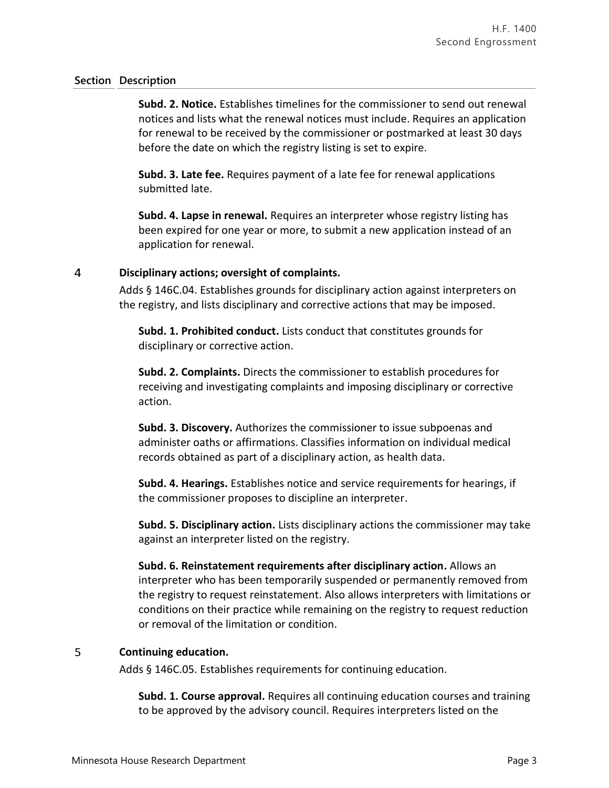**Subd. 2. Notice.** Establishes timelines for the commissioner to send out renewal notices and lists what the renewal notices must include. Requires an application for renewal to be received by the commissioner or postmarked at least 30 days before the date on which the registry listing is set to expire.

**Subd. 3. Late fee.** Requires payment of a late fee for renewal applications submitted late.

**Subd. 4. Lapse in renewal.** Requires an interpreter whose registry listing has been expired for one year or more, to submit a new application instead of an application for renewal.

### $\overline{4}$ **Disciplinary actions; oversight of complaints.**

Adds § 146C.04. Establishes grounds for disciplinary action against interpreters on the registry, and lists disciplinary and corrective actions that may be imposed.

**Subd. 1. Prohibited conduct.** Lists conduct that constitutes grounds for disciplinary or corrective action.

**Subd. 2. Complaints.** Directs the commissioner to establish procedures for receiving and investigating complaints and imposing disciplinary or corrective action.

**Subd. 3. Discovery.** Authorizes the commissioner to issue subpoenas and administer oaths or affirmations. Classifies information on individual medical records obtained as part of a disciplinary action, as health data.

**Subd. 4. Hearings.** Establishes notice and service requirements for hearings, if the commissioner proposes to discipline an interpreter.

**Subd. 5. Disciplinary action.** Lists disciplinary actions the commissioner may take against an interpreter listed on the registry.

**Subd. 6. Reinstatement requirements after disciplinary action.** Allows an interpreter who has been temporarily suspended or permanently removed from the registry to request reinstatement. Also allows interpreters with limitations or conditions on their practice while remaining on the registry to request reduction or removal of the limitation or condition.

### 5 **Continuing education.**

Adds § 146C.05. Establishes requirements for continuing education.

**Subd. 1. Course approval.** Requires all continuing education courses and training to be approved by the advisory council. Requires interpreters listed on the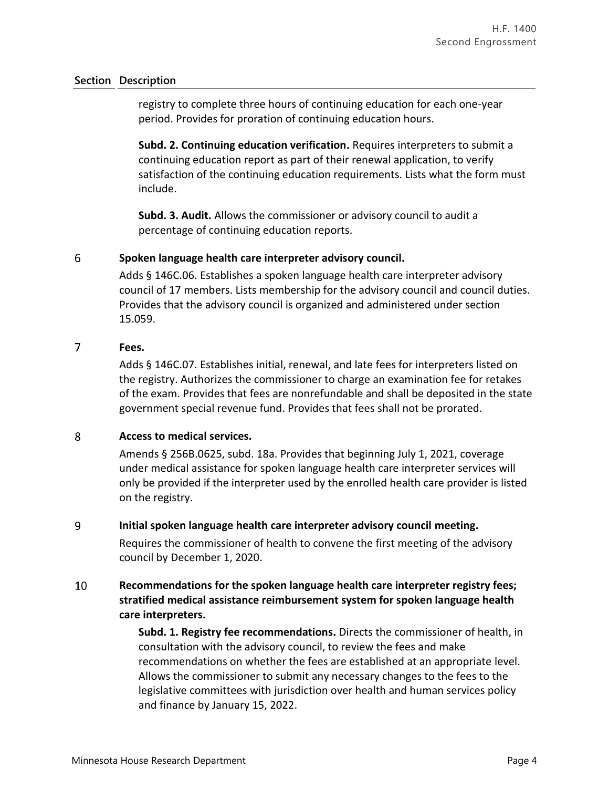registry to complete three hours of continuing education for each one-year period. Provides for proration of continuing education hours.

**Subd. 2. Continuing education verification.** Requires interpreters to submit a continuing education report as part of their renewal application, to verify satisfaction of the continuing education requirements. Lists what the form must include.

**Subd. 3. Audit.** Allows the commissioner or advisory council to audit a percentage of continuing education reports.

### 6 **Spoken language health care interpreter advisory council.**

Adds § 146C.06. Establishes a spoken language health care interpreter advisory council of 17 members. Lists membership for the advisory council and council duties. Provides that the advisory council is organized and administered under section 15.059.

### $\overline{7}$ **Fees.**

Adds § 146C.07. Establishes initial, renewal, and late fees for interpreters listed on the registry. Authorizes the commissioner to charge an examination fee for retakes of the exam. Provides that fees are nonrefundable and shall be deposited in the state government special revenue fund. Provides that fees shall not be prorated.

### 8 **Access to medical services.**

Amends § 256B.0625, subd. 18a. Provides that beginning July 1, 2021, coverage under medical assistance for spoken language health care interpreter services will only be provided if the interpreter used by the enrolled health care provider is listed on the registry.

### 9 **Initial spoken language health care interpreter advisory council meeting.**

Requires the commissioner of health to convene the first meeting of the advisory council by December 1, 2020.

### 10 **Recommendations for the spoken language health care interpreter registry fees; stratified medical assistance reimbursement system for spoken language health care interpreters.**

**Subd. 1. Registry fee recommendations.** Directs the commissioner of health, in consultation with the advisory council, to review the fees and make recommendations on whether the fees are established at an appropriate level. Allows the commissioner to submit any necessary changes to the fees to the legislative committees with jurisdiction over health and human services policy and finance by January 15, 2022.